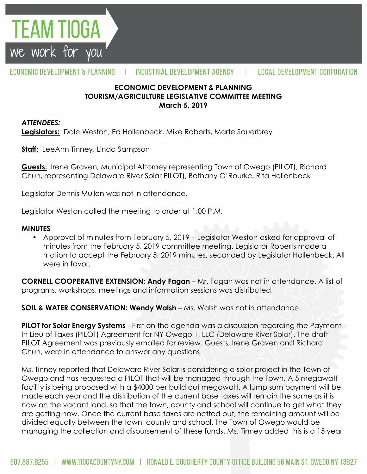

#### ECONOMIC DEVELOPMENT & PLANNING INDUSTRIAL DEVELOPMENT AGENCY Ш **LOCAL DEVELOPMENT CORPORATION**

### **ECONOMIC DEVELOPMENT & PLANNING TOURISM/AGRICULTURE LEGISLATIVE COMMITTEE MEETING March 5, 2019**

#### *ATTENDEES:*

**Legislators:** Dale Weston, Ed Hollenbeck, Mike Roberts, Marte Sauerbrey

**Staff:** LeeAnn Tinney, Linda Sampson

**Guests:** Irene Graven, Municipal Attorney representing Town of Owego (PILOT), Richard Chun, representing Delaware River Solar PILOT), Bethany O'Rourke, Rita Hollenbeck

Legislator Dennis Mullen was not in attendance.

Legislator Weston called the meeting to order at 1:00 P.M.

#### **MINUTES**

• Approval of minutes from February 5, 2019 – Legislator Weston asked for approval of minutes from the February 5, 2019 committee meeting. Legislator Roberts made a motion to accept the February 5, 2019 minutes, seconded by Legislator Hollenbeck. All were in favor.

**CORNELL COOPERATIVE EXTENSION: Andy Fagan** – Mr. Fagan was not in attendance. A list of programs, workshops, meetings and information sessions was distributed.

**SOIL & WATER CONSERVATION: Wendy Walsh** – Ms. Walsh was not in attendance.

**PILOT for Solar Energy Systems** - First on the agenda was a discussion regarding the Payment In Lieu of Taxes (PILOT) Agreement for NY Owego 1, LLC (Delaware River Solar). The draft PILOT Agreement was previously emailed for review. Guests, Irene Graven and Richard Chun, were in attendance to answer any questions.

Ms. Tinney reported that Delaware River Solar is considering a solar project in the Town of Owego and has requested a PILOT that will be managed through the Town. A 5 megawatt facility is being proposed with a \$4000 per build out megawatt. A lump sum payment will be made each year and the distribution of the current base taxes will remain the same as it is now on the vacant land, so that the town, county and school will continue to get what they are getting now. Once the current base taxes are netted out, the remaining amount will be divided equally between the town, county and school. The Town of Owego would be managing the collection and disbursement of these funds. Ms. Tinney added this is a 15 year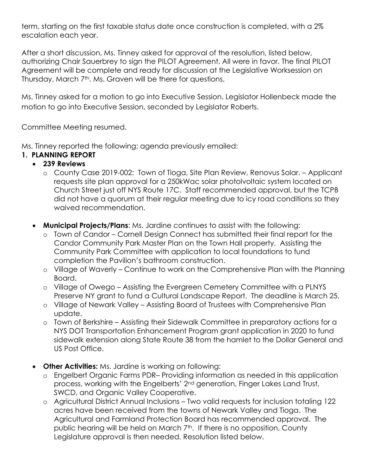term, starting on the first taxable status date once construction is completed, with a 2% escalation each year.

After a short discussion, Ms. Tinney asked for approval of the resolution, listed below, authorizing Chair Sauerbrey to sign the PILOT Agreement. All were in favor. The final PILOT Agreement will be complete and ready for discussion at the Legislative Worksession on Thursday, March 7<sup>th</sup>. Ms. Graven will be there for questions.

Ms. Tinney asked for a motion to go into Executive Session. Legislator Hollenbeck made the motion to go into Executive Session, seconded by Legislator Roberts.

Committee Meeting resumed.

Ms. Tinney reported the following; agenda previously emailed:

## **1. PLANNING REPORT**

## **239 Reviews**

- o County Case 2019-002: Town of Tioga, Site Plan Review, Renovus Solar. Applicant requests site plan approval for a 250kWac solar photolvoltaic system located on Church Street just off NYS Route 17C. Staff recommended approval, but the TCPB did not have a quorum at their regular meeting due to icy road conditions so they waived recommendation.
- **Municipal Projects/Plans**: Ms. Jardine continues to assist with the following:
	- o Town of Candor Cornell Design Connect has submitted their final report for the Candor Community Park Master Plan on the Town Hall property. Assisting the Community Park Committee with application to local foundations to fund completion the Pavilion's bathroom construction.
	- o Village of Waverly Continue to work on the Comprehensive Plan with the Planning Board.
	- o Village of Owego Assisting the Evergreen Cemetery Committee with a PLNYS Preserve NY grant to fund a Cultural Landscape Report. The deadline is March 25.
	- o Village of Newark Valley Assisting Board of Trustees with Comprehensive Plan update.
	- o Town of Berkshire Assisting their Sidewalk Committee in preparatory actions for a NYS DOT Transportation Enhancement Program grant application in 2020 to fund sidewalk extension along State Route 38 from the hamlet to the Dollar General and US Post Office.
- **Other Activities:** Ms. Jardine is working on following:
	- o Engelbert Organic Farms PDR– Providing information as needed in this application process, working with the Engelberts' 2nd generation, Finger Lakes Land Trust, SWCD, and Organic Valley Cooperative.
	- o Agricultural District Annual Inclusions Two valid requests for inclusion totaling 122 acres have been received from the towns of Newark Valley and Tioga. The Agricultural and Farmland Protection Board has recommended approval. The public hearing will be held on March 7<sup>th</sup>. If there is no opposition, County Legislature approval is then needed. Resolution listed below.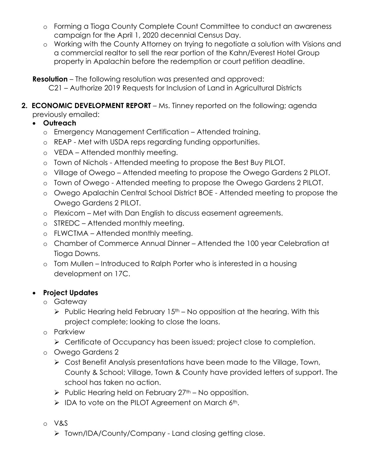- o Forming a Tioga County Complete Count Committee to conduct an awareness campaign for the April 1, 2020 decennial Census Day.
- o Working with the County Attorney on trying to negotiate a solution with Visions and a commercial realtor to sell the rear portion of the Kahn/Everest Hotel Group property in Apalachin before the redemption or court petition deadline.

**Resolution** – The following resolution was presented and approved:

- C21 Authorize 2019 Requests for Inclusion of Land in Agricultural Districts
- **2. ECONOMIC DEVELOPMENT REPORT** Ms. Tinney reported on the following; agenda previously emailed:
	- **Outreach**
		- o Emergency Management Certification Attended training.
		- o REAP Met with USDA reps regarding funding opportunities.
		- o VEDA Attended monthly meeting.
		- o Town of Nichols Attended meeting to propose the Best Buy PILOT.
		- o Village of Owego Attended meeting to propose the Owego Gardens 2 PILOT.
		- o Town of Owego Attended meeting to propose the Owego Gardens 2 PILOT.
		- o Owego Apalachin Central School District BOE Attended meeting to propose the Owego Gardens 2 PILOT.
		- o Plexicom Met with Dan English to discuss easement agreements.
		- o STREDC Attended monthly meeting.
		- o FLWCTMA Attended monthly meeting.
		- o Chamber of Commerce Annual Dinner Attended the 100 year Celebration at Tioga Downs.
		- o Tom Mullen Introduced to Ralph Porter who is interested in a housing development on 17C.

# **Project Updates**

- o Gateway
	- $\triangleright$  Public Hearing held February 15<sup>th</sup> No opposition at the hearing. With this project complete; looking to close the loans.
- o Parkview
	- > Certificate of Occupancy has been issued; project close to completion.
- o Owego Gardens 2
	- Cost Benefit Analysis presentations have been made to the Village, Town, County & School; Village, Town & County have provided letters of support. The school has taken no action.
	- $\triangleright$  Public Hearing held on February 27<sup>th</sup> No opposition.
	- $\triangleright$  IDA to vote on the PILOT Agreement on March 6th.
- o V&S
	- > Town/IDA/County/Company Land closing getting close.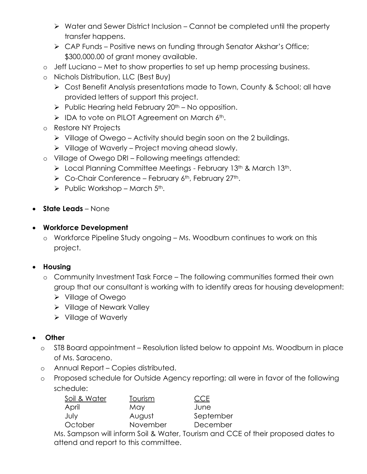- $\triangleright$  Water and Sewer District Inclusion Cannot be completed until the property transfer happens.
- ▶ CAP Funds Positive news on funding through Senator Akshar's Office; \$300,000.00 of grant money available.
- o Jeff Luciano Met to show properties to set up hemp processing business.
- o Nichols Distribution, LLC (Best Buy)
	- Cost Benefit Analysis presentations made to Town, County & School; all have provided letters of support this project.
	- $\triangleright$  Public Hearing held February 20<sup>th</sup> No opposition.
	- $\triangleright$  IDA to vote on PILOT Agreement on March 6<sup>th</sup>.
- o Restore NY Projects
	- $\triangleright$  Village of Owego Activity should begin soon on the 2 buildings.
	- $\triangleright$  Village of Waverly Project moving ahead slowly.
- o Village of Owego DRI Following meetings attended:
	- ▶ Local Planning Committee Meetings February 13th & March 13th.
	- $\triangleright$  Co-Chair Conference February 6<sup>th</sup>, February 27<sup>th</sup>.
	- $\triangleright$  Public Workshop March 5<sup>th</sup>.
- **State Leads** None

## **Workforce Development**

o Workforce Pipeline Study ongoing – Ms. Woodburn continues to work on this project.

# **Housing**

- o Community Investment Task Force The following communities formed their own group that our consultant is working with to identify areas for housing development:
	- Village of Owego
	- **▶ Village of Newark Valley**
	- $\triangleright$  Village of Waverly

# **Other**

- o ST8 Board appointment Resolution listed below to appoint Ms. Woodburn in place of Ms. Saraceno.
- o Annual Report Copies distributed.
- o Proposed schedule for Outside Agency reporting; all were in favor of the following schedule:

| Soil & Water | Tourism  | <b>CCE</b> |
|--------------|----------|------------|
| April        | May      | June       |
| July         | August   | September  |
| October      | November | December   |
|              |          |            |

Ms. Sampson will inform Soil & Water, Tourism and CCE of their proposed dates to attend and report to this committee.